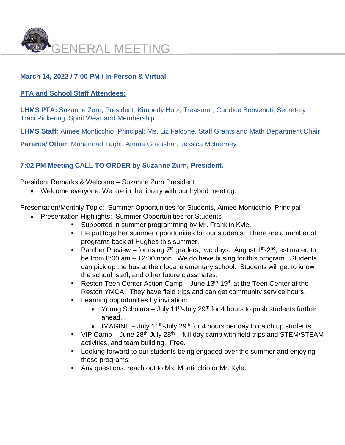

# **March 14, 2022 / 7:00 PM / In-Person & Virtual**

## **PTA and School Staff Attendees:**

**LHMS PTA:** Suzanne Zurn, President; Kimberly Hotz, Treasurer; Candice Benvenuti, Secretary; Traci Pickering, Spirit Wear and Membership

**LHMS Staff:** Aimee Monticchio, Principal; Ms. Liz Falcone, Staff Grants and Math Department Chair

**Parents/ Other:** Muhannad Taghi, Amma Gradishar, Jessica McInerney

## **7:02 PM Meeting CALL TO ORDER by Suzanne Zurn, President.**

President Remarks & Welcome – Suzanne Zurn President

• Welcome everyone. We are in the library with our hybrid meeting.

Presentation/Monthly Topic: Summer Opportunities for Students, Aimee Monticchio, Principal

- Presentation Highlights: Summer Opportunities for Students
	- Supported in summer programming by Mr. Franklin Kyle.
	- He put together summer opportunities for our students. There are a number of programs back at Hughes this summer.
	- **Panther Preview** for rising  $7<sup>th</sup>$  graders; two days. August  $1<sup>st</sup>$ -2<sup>nd</sup>, estimated to be from 8:00 am – 12:00 noon. We do have busing for this program. Students can pick up the bus at their local elementary school. Students will get to know the school, staff, and other future classmates.
	- **•** Reston Teen Center Action Camp  $-$  June 13<sup>th</sup>-19<sup>th</sup> at the Teen Center at the Reston YMCA. They have field trips and can get community service hours.
	- **EXECTE:** Learning opportunities by invitation:
		- Young Scholars July 11<sup>th</sup>-July 29<sup>th</sup> for 4 hours to push students further ahead.
		- IMAGINE July 11<sup>th</sup>-July 29<sup>th</sup> for 4 hours per day to catch up students.
	- $\blacksquare$  VIP Camp June 28<sup>th</sup>-July 28<sup>th</sup> full day camp with field trips and STEM/STEAM activities, and team building. Free.
	- Looking forward to our students being engaged over the summer and enjoying these programs.
	- Any questions, reach out to Ms. Monticchio or Mr. Kyle.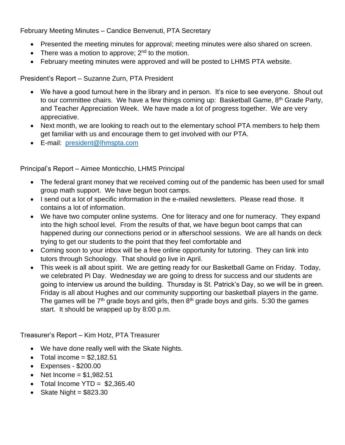February Meeting Minutes – Candice Benvenuti, PTA Secretary

- Presented the meeting minutes for approval; meeting minutes were also shared on screen.
- There was a motion to approve;  $2^{nd}$  to the motion.
- February meeting minutes were approved and will be posted to LHMS PTA website.

President's Report – Suzanne Zurn, PTA President

- We have a good turnout here in the library and in person. It's nice to see everyone. Shout out to our committee chairs. We have a few things coming up: Basketball Game, 8<sup>th</sup> Grade Party, and Teacher Appreciation Week. We have made a lot of progress together. We are very appreciative.
- Next month, we are looking to reach out to the elementary school PTA members to help them get familiar with us and encourage them to get involved with our PTA.
- E-mail: [president@lhmspta.com](mailto:president@lhmspta.com)

Principal's Report – Aimee Monticchio, LHMS Principal

- The federal grant money that we received coming out of the pandemic has been used for small group math support. We have begun boot camps.
- I send out a lot of specific information in the e-mailed newsletters. Please read those. It contains a lot of information.
- We have two computer online systems. One for literacy and one for numeracy. They expand into the high school level. From the results of that, we have begun boot camps that can happened during our connections period or in afterschool sessions. We are all hands on deck trying to get our students to the point that they feel comfortable and
- Coming soon to your inbox will be a free online opportunity for tutoring. They can link into tutors through Schoology. That should go live in April.
- This week is all about spirit. We are getting ready for our Basketball Game on Friday. Today, we celebrated Pi Day. Wednesday we are going to dress for success and our students are going to interview us around the building. Thursday is St. Patrick's Day, so we will be in green. Friday is all about Hughes and our community supporting our basketball players in the game. The games will be  $7<sup>th</sup>$  grade boys and girls, then  $8<sup>th</sup>$  grade boys and girls. 5:30 the games start. It should be wrapped up by 8:00 p.m.

Treasurer's Report – Kim Hotz, PTA Treasurer

- We have done really well with the Skate Nights.
- Total income  $= $2,182.51$
- Expenses \$200.00
- Net  $Income = $1.982.51$
- Total Income  $YTD = $2.365.40$
- Skate Night  $= $823.30$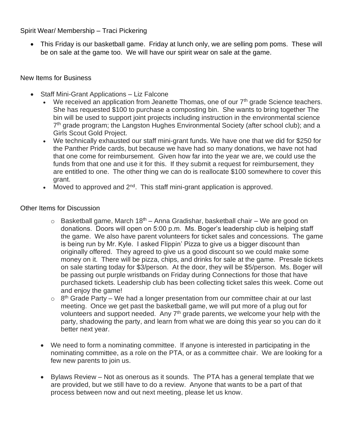Spirit Wear/ Membership – Traci Pickering

• This Friday is our basketball game. Friday at lunch only, we are selling pom poms. These will be on sale at the game too. We will have our spirit wear on sale at the game.

## New Items for Business

- Staff Mini-Grant Applications Liz Falcone
	- We received an application from Jeanette Thomas, one of our  $7<sup>th</sup>$  grade Science teachers. She has requested \$100 to purchase a composting bin. She wants to bring together The bin will be used to support joint projects including instruction in the environmental science 7<sup>th</sup> grade program; the Langston Hughes Environmental Society (after school club); and a Girls Scout Gold Project.
	- We technically exhausted our staff mini-grant funds. We have one that we did for \$250 for the Panther Pride cards, but because we have had so many donations, we have not had that one come for reimbursement. Given how far into the year we are, we could use the funds from that one and use it for this. If they submit a request for reimbursement, they are entitled to one. The other thing we can do is reallocate \$100 somewhere to cover this grant.
	- Moved to approved and  $2^{nd}$ . This staff mini-grant application is approved.

## Other Items for Discussion

- $\circ$  Basketball game, March 18<sup>th</sup> Anna Gradishar, basketball chair We are good on donations. Doors will open on 5:00 p.m. Ms. Boger's leadership club is helping staff the game. We also have parent volunteers for ticket sales and concessions. The game is being run by Mr. Kyle. I asked Flippin' Pizza to give us a bigger discount than originally offered. They agreed to give us a good discount so we could make some money on it. There will be pizza, chips, and drinks for sale at the game. Presale tickets on sale starting today for \$3/person. At the door, they will be \$5/person. Ms. Boger will be passing out purple wristbands on Friday during Connections for those that have purchased tickets. Leadership club has been collecting ticket sales this week. Come out and enjoy the game!
- $\circ$  8<sup>th</sup> Grade Party We had a longer presentation from our committee chair at our last meeting. Once we get past the basketball game, we will put more of a plug out for volunteers and support needed. Any 7<sup>th</sup> grade parents, we welcome your help with the party, shadowing the party, and learn from what we are doing this year so you can do it better next year.
- We need to form a nominating committee. If anyone is interested in participating in the nominating committee, as a role on the PTA, or as a committee chair. We are looking for a few new parents to join us.
- Bylaws Review Not as onerous as it sounds. The PTA has a general template that we are provided, but we still have to do a review. Anyone that wants to be a part of that process between now and out next meeting, please let us know.